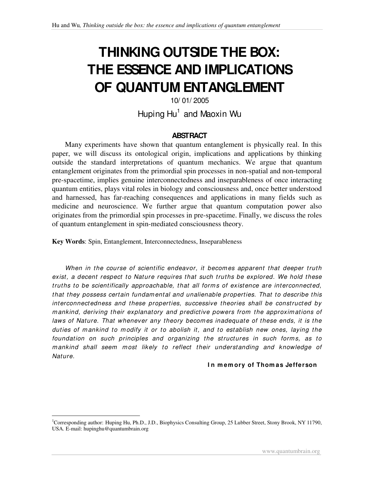# **THINKING OUTSIDE THE BOX: THE ESSENCE AND IMPLICATIONS OF QUANTUM ENTANGLEMENT**

## 10/ 01/ 2005 Huping Hu<sup>1</sup> and Maoxin Wu

#### **ABSTRACT**

Many experiments have shown that quantum entanglement is physically real. In this paper, we will discuss its ontological origin, implications and applications by thinking outside the standard interpretations of quantum mechanics. We argue that quantum entanglement originates from the primordial spin processes in non-spatial and non-temporal pre-spacetime, implies genuine interconnectedness and inseparableness of once interacting quantum entities, plays vital roles in biology and consciousness and, once better understood and harnessed, has far-reaching consequences and applications in many fields such as medicine and neuroscience. We further argue that quantum computation power also originates from the primordial spin processes in pre-spacetime. Finally, we discuss the roles of quantum entanglement in spin-mediated consciousness theory.

**Key Words**: Spin, Entanglement, Interconnectedness, Inseparableness

 $\overline{a}$ 

*When in the course of scientific endeavor, it becom es apparent that deeper truth exist, a decent respect to Nature requires that such truths be explored. We hold these truths to be scientifically approachable, that all form s of existence are interconnected, that they possess certain fundam ental and unalienable properties. That to describe this interconnectedness and these properties, successive theories shall be constructed by m ankind, deriving their explanatory and predictive powers from the approxim ations of laws of Nature. That whenever any theory becom es inadequate of these ends, it is the duties of m ankind to m odify it or to abolish it, and to establish new ones, laying the foundation on such principles and organizing the structures in such form s, as to m ankind shall seem m ost likely to reflect their understanding and knowledge of Nature.*

#### **I n m em ory of Thom as Jefferson**

<sup>&</sup>lt;sup>1</sup>Corresponding author: Huping Hu, Ph.D., J.D., Biophysics Consulting Group, 25 Lubber Street, Stony Brook, NY 11790, USA. E-mail: hupinghu@quantumbrain.org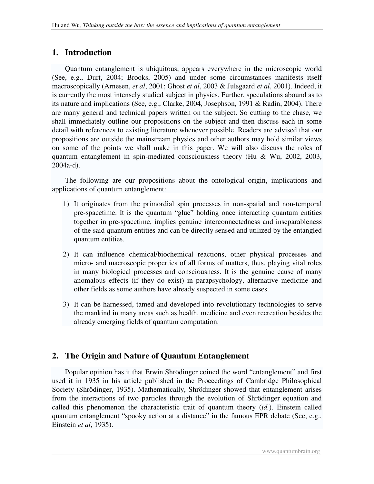## **1. Introduction**

Quantum entanglement is ubiquitous, appears everywhere in the microscopic world (See, e.g., Durt, 2004; Brooks, 2005) and under some circumstances manifests itself macroscopically (Arnesen, *et al*, 2001; Ghost *et al*, 2003 & Julsgaard *et al*, 2001). Indeed, it is currently the most intensely studied subject in physics. Further, speculations abound as to its nature and implications (See, e.g., Clarke, 2004, Josephson, 1991 & Radin, 2004). There are many general and technical papers written on the subject. So cutting to the chase, we shall immediately outline our propositions on the subject and then discuss each in some detail with references to existing literature whenever possible. Readers are advised that our propositions are outside the mainstream physics and other authors may hold similar views on some of the points we shall make in this paper. We will also discuss the roles of quantum entanglement in spin-mediated consciousness theory (Hu & Wu, 2002, 2003, 2004a-d).

The following are our propositions about the ontological origin, implications and applications of quantum entanglement:

- 1) It originates from the primordial spin processes in non-spatial and non-temporal pre-spacetime. It is the quantum "glue" holding once interacting quantum entities together in pre-spacetime, implies genuine interconnectedness and inseparableness of the said quantum entities and can be directly sensed and utilized by the entangled quantum entities.
- 2) It can influence chemical/biochemical reactions, other physical processes and micro- and macroscopic properties of all forms of matters, thus, playing vital roles in many biological processes and consciousness. It is the genuine cause of many anomalous effects (if they do exist) in parapsychology, alternative medicine and other fields as some authors have already suspected in some cases.
- 3) It can be harnessed, tamed and developed into revolutionary technologies to serve the mankind in many areas such as health, medicine and even recreation besides the already emerging fields of quantum computation.

## **2. The Origin and Nature of Quantum Entanglement**

Popular opinion has it that Erwin Shrödinger coined the word "entanglement" and first used it in 1935 in his article published in the Proceedings of Cambridge Philosophical Society (Shrödinger, 1935). Mathematically, Shrödinger showed that entanglement arises from the interactions of two particles through the evolution of Shrödinger equation and called this phenomenon the characteristic trait of quantum theory (*id.*). Einstein called quantum entanglement "spooky action at a distance" in the famous EPR debate (See, e.g., Einstein *et al*, 1935).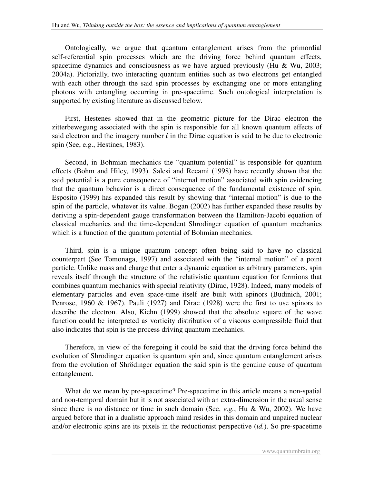Ontologically, we argue that quantum entanglement arises from the primordial self-referential spin processes which are the driving force behind quantum effects, spacetime dynamics and consciousness as we have argued previously (Hu & Wu, 2003; 2004a). Pictorially, two interacting quantum entities such as two electrons get entangled with each other through the said spin processes by exchanging one or more entangling photons with entangling occurring in pre-spacetime. Such ontological interpretation is supported by existing literature as discussed below.

First, Hestenes showed that in the geometric picture for the Dirac electron the zitterbewegung associated with the spin is responsible for all known quantum effects of said electron and the imagery number  $\vec{i}$  in the Dirac equation is said to be due to electronic spin (See, e.g., Hestines, 1983).

Second, in Bohmian mechanics the "quantum potential" is responsible for quantum effects (Bohm and Hiley, 1993). Salesi and Recami (1998) have recently shown that the said potential is a pure consequence of " internal motion" associated with spin evidencing that the quantum behavior is a direct consequence of the fundamental existence of spin. Esposito (1999) has expanded this result by showing that " internal motion" is due to the spin of the particle, whatever its value. Bogan (2002) has further expanded these results by deriving a spin-dependent gauge transformation between the Hamilton-Jacobi equation of classical mechanics and the time-dependent Shrödinger equation of quantum mechanics which is a function of the quantum potential of Bohmian mechanics.

Third, spin is a unique quantum concept often being said to have no classical counterpart (See Tomonaga, 1997) and associated with the " internal motion" of a point particle. Unlike mass and charge that enter a dynamic equation as arbitrary parameters, spin reveals itself through the structure of the relativistic quantum equation for fermions that combines quantum mechanics with special relativity (Dirac, 1928). Indeed, many models of elementary particles and even space-time itself are built with spinors (Budinich, 2001; Penrose, 1960  $\&$  1967). Pauli (1927) and Dirac (1928) were the first to use spinors to describe the electron. Also, Kiehn (1999) showed that the absolute square of the wave function could be interpreted as vorticity distribution of a viscous compressible fluid that also indicates that spin is the process driving quantum mechanics.

Therefore, in view of the foregoing it could be said that the driving force behind the evolution of Shrödinger equation is quantum spin and, since quantum entanglement arises from the evolution of Shrödinger equation the said spin is the genuine cause of quantum entanglement.

What do we mean by pre-spacetime? Pre-spacetime in this article means a non-spatial and non-temporal domain but it is not associated with an extra-dimension in the usual sense since there is no distance or time in such domain (See, *e.g.*, Hu & Wu, 2002). We have argued before that in a dualistic approach mind resides in this domain and unpaired nuclear and/or electronic spins are its pixels in the reductionist perspective (*id.*). So pre-spacetime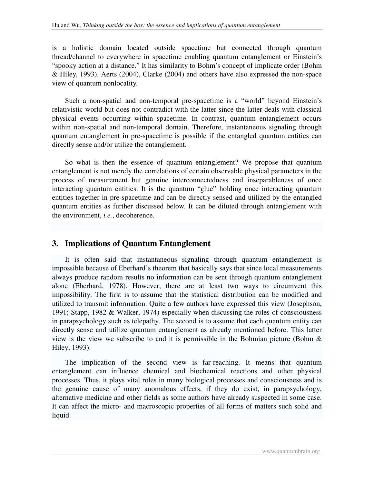is a holistic domain located outside spacetime but connected through quantum thread/channel to everywhere in spacetime enabling quantum entanglement or Einstein's "spooky action at a distance." It has similarity to Bohm's concept of implicate order (Bohm & Hiley, 1993). Aerts (2004), Clarke (2004) and others have also expressed the non-space view of quantum nonlocality.

Such a non-spatial and non-temporal pre-spacetime is a "world" beyond Einstein's relativistic world but does not contradict with the latter since the latter deals with classical physical events occurring within spacetime. In contrast, quantum entanglement occurs within non-spatial and non-temporal domain. Therefore, instantaneous signaling through quantum entanglement in pre-spacetime is possible if the entangled quantum entities can directly sense and/or utilize the entanglement.

So what is then the essence of quantum entanglement? We propose that quantum entanglement is not merely the correlations of certain observable physical parameters in the process of measurement but genuine interconnectedness and inseparableness of once interacting quantum entities. It is the quantum "glue" holding once interacting quantum entities together in pre-spacetime and can be directly sensed and utilized by the entangled quantum entities as further discussed below. It can be diluted through entanglement with the environment, *i.e.*, decoherence.

### **3. Implications of Quantum Entanglement**

It is often said that instantaneous signaling through quantum entanglement is impossible because of Eberhard's theorem that basically says that since local measurements always produce random results no information can be sent through quantum entanglement alone (Eberhard, 1978). However, there are at least two ways to circumvent this impossibility. The first is to assume that the statistical distribution can be modified and utilized to transmit information. Quite a few authors have expressed this view (Josephson, 1991; Stapp, 1982 & Walker, 1974) especially when discussing the roles of consciousness in parapsychology such as telepathy. The second is to assume that each quantum entity can directly sense and utilize quantum entanglement as already mentioned before. This latter view is the view we subscribe to and it is permissible in the Bohmian picture (Bohm & Hiley, 1993).

The implication of the second view is far-reaching. It means that quantum entanglement can influence chemical and biochemical reactions and other physical processes. Thus, it plays vital roles in many biological processes and consciousness and is the genuine cause of many anomalous effects, if they do exist, in parapsychology, alternative medicine and other fields as some authors have already suspected in some case. It can affect the micro- and macroscopic properties of all forms of matters such solid and liquid.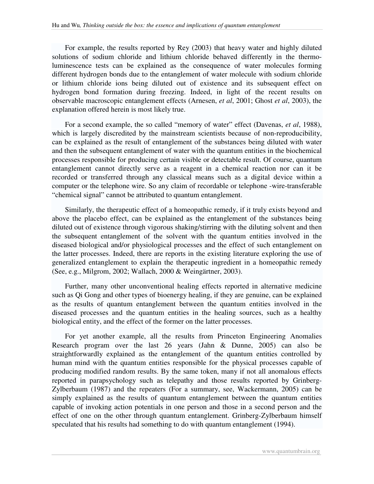For example, the results reported by Rey (2003) that heavy water and highly diluted solutions of sodium chloride and lithium chloride behaved differently in the thermoluminescence tests can be explained as the consequence of water molecules forming different hydrogen bonds due to the entanglement of water molecule with sodium chloride or lithium chloride ions being diluted out of existence and its subsequent effect on hydrogen bond formation during freezing. Indeed, in light of the recent results on observable macroscopic entanglement effects (Arnesen, *et al*, 2001; Ghost *et al*, 2003), the explanation offered herein is most likely true.

For a second example, the so called " memory of water" effect (Davenas, *et al*, 1988), which is largely discredited by the mainstream scientists because of non-reproducibility, can be explained as the result of entanglement of the substances being diluted with water and then the subsequent entanglement of water with the quantum entities in the biochemical processes responsible for producing certain visible or detectable result. Of course, quantum entanglement cannot directly serve as a reagent in a chemical reaction nor can it be recorded or transferred through any classical means such as a digital device within a computer or the telephone wire. So any claim of recordable or telephone -wire-transferable " chemical signal" cannot be attributed to quantum entanglement.

Similarly, the therapeutic effect of a homeopathic remedy, if it truly exists beyond and above the placebo effect, can be explained as the entanglement of the substances being diluted out of existence through vigorous shaking/stirring with the diluting solvent and then the subsequent entanglement of the solvent with the quantum entities involved in the diseased biological and/or physiological processes and the effect of such entanglement on the latter processes. Indeed, there are reports in the existing literature exploring the use of generalized entanglement to explain the therapeutic ingredient in a homeopathic remedy (See, e.g., Milgrom, 2002; Wallach, 2000 & Weingärtner, 2003).

Further, many other unconventional healing effects reported in alternative medicine such as Qi Gong and other types of bioenergy healing, if they are genuine, can be explained as the results of quantum entanglement between the quantum entities involved in the diseased processes and the quantum entities in the healing sources, such as a healthy biological entity, and the effect of the former on the latter processes.

For yet another example, all the results from Princeton Engineering Anomalies Research program over the last 26 years (Jahn & Dunne, 2005) can also be straightforwardly explained as the entanglement of the quantum entities controlled by human mind with the quantum entities responsible for the physical processes capable of producing modified random results. By the same token, many if not all anomalous effects reported in parapsychology such as telepathy and those results reported by Grinberg-Zylberbaum (1987) and the repeaters (For a summary, see, Wackermann, 2005) can be simply explained as the results of quantum entanglement between the quantum entities capable of invoking action potentials in one person and those in a second person and the effect of one on the other through quantum entanglement. Grinberg-Zylberbaum himself speculated that his results had something to do with quantum entanglement (1994).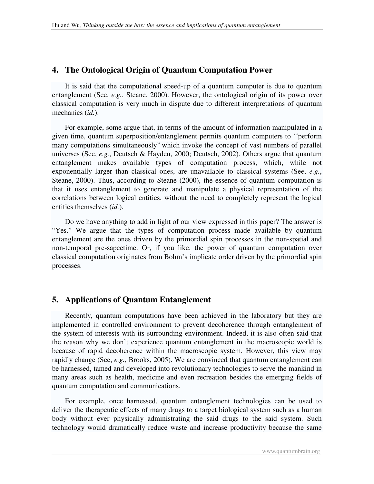### **4. The Ontological Origin of Quantum Computation Power**

It is said that the computational speed-up of a quantum computer is due to quantum entanglement (See, *e.g.*, Steane, 2000). However, the ontological origin of its power over classical computation is very much in dispute due to different interpretations of quantum mechanics (*id.*).

For example, some argue that, in terms of the amount of information manipulated in a given time, quantum superposition/entanglement permits quantum computers to ''perform many computations simultaneously'' which invoke the concept of vast numbers of parallel universes (See, *e.g.*, Deutsch & Hayden, 2000; Deutsch, 2002). Others argue that quantum entanglement makes available types of computation process, which, while not exponentially larger than classical ones, are unavailable to classical systems (See, *e.g.*, Steane, 2000). Thus, according to Steane (2000), the essence of quantum computation is that it uses entanglement to generate and manipulate a physical representation of the correlations between logical entities, without the need to completely represent the logical entities themselves (*id.*).

Do we have anything to add in light of our view expressed in this paper? The answer is "Yes." We argue that the types of computation process made available by quantum entanglement are the ones driven by the primordial spin processes in the non-spatial and non-temporal pre-sapcetime. Or, if you like, the power of quantum computation over classical computation originates from Bohm's implicate order driven by the primordial spin processes.

## **5. Applications of Quantum Entanglement**

Recently, quantum computations have been achieved in the laboratory but they are implemented in controlled environment to prevent decoherence through entanglement of the system of interests with its surrounding environment. Indeed, it is also often said that the reason why we don't experience quantum entanglement in the macroscopic world is because of rapid decoherence within the macroscopic system. However, this view may rapidly change (See, *e.g.*, Brooks, 2005). We are convinced that quantum entanglement can be harnessed, tamed and developed into revolutionary technologies to serve the mankind in many areas such as health, medicine and even recreation besides the emerging fields of quantum computation and communications.

For example, once harnessed, quantum entanglement technologies can be used to deliver the therapeutic effects of many drugs to a target biological system such as a human body without ever physically administrating the said drugs to the said system. Such technology would dramatically reduce waste and increase productivity because the same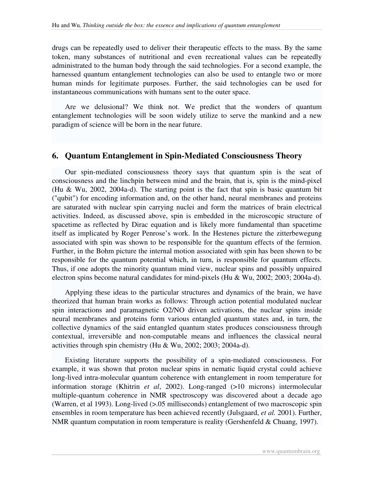drugs can be repeatedly used to deliver their therapeutic effects to the mass. By the same token, many substances of nutritional and even recreational values can be repeatedly administrated to the human body through the said technologies. For a second example, the harnessed quantum entanglement technologies can also be used to entangle two or more human minds for legitimate purposes. Further, the said technologies can be used for instantaneous communications with humans sent to the outer space.

Are we delusional? We think not. We predict that the wonders of quantum entanglement technologies will be soon widely utilize to serve the mankind and a new paradigm of science will be born in the near future.

#### **6. Quantum Entanglement in Spin-Mediated Consciousness Theory**

Our spin-mediated consciousness theory says that quantum spin is the seat of consciousness and the linchpin between mind and the brain, that is, spin is the mind-pixel (Hu & Wu, 2002, 2004a-d). The starting point is the fact that spin is basic quantum bit ("qubit") for encoding information and, on the other hand, neural membranes and proteins are saturated with nuclear spin carrying nuclei and form the matrices of brain electrical activities. Indeed, as discussed above, spin is embedded in the microscopic structure of spacetime as reflected by Dirac equation and is likely more fundamental than spacetime itself as implicated by Roger Penrose's work. In the Hestenes picture the zitterbewegung associated with spin was shown to be responsible for the quantum effects of the fermion. Further, in the Bohm picture the internal motion associated with spin has been shown to be responsible for the quantum potential which, in turn, is responsible for quantum effects. Thus, if one adopts the minority quantum mind view, nuclear spins and possibly unpaired electron spins become natural candidates for mind-pixels (Hu & Wu, 2002; 2003; 2004a-d).

Applying these ideas to the particular structures and dynamics of the brain, we have theorized that human brain works as follows: Through action potential modulated nuclear spin interactions and paramagnetic O2/NO driven activations, the nuclear spins inside neural membranes and proteins form various entangled quantum states and, in turn, the collective dynamics of the said entangled quantum states produces consciousness through contextual, irreversible and non-computable means and influences the classical neural activities through spin chemistry (Hu & Wu, 2002; 2003; 2004a-d).

Existing literature supports the possibility of a spin-mediated consciousness. For example, it was shown that proton nuclear spins in nematic liquid crystal could achieve long-lived intra-molecular quantum coherence with entanglement in room temperature for information storage (Khitrin *et al*, 2002). Long-ranged (>10 microns) intermolecular multiple-quantum coherence in NMR spectroscopy was discovered about a decade ago (Warren, et al 1993). Long-lived (>.05 milliseconds) entanglement of two macroscopic spin ensembles in room temperature has been achieved recently (Julsgaard, *et al.* 2001). Further, NMR quantum computation in room temperature is reality (Gershenfeld & Chuang, 1997).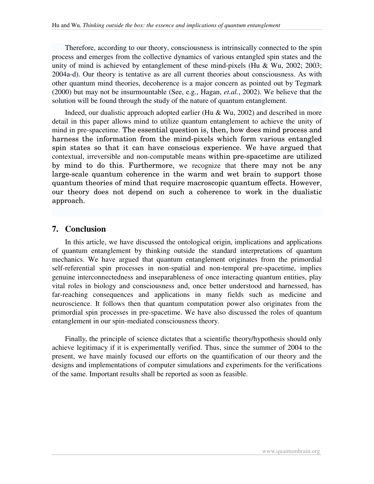Therefore, according to our theory, consciousness is intrinsically connected to the spin process and emerges from the collective dynamics of various entangled spin states and the unity of mind is achieved by entanglement of these mind-pixels (Hu & Wu, 2002; 2003; 2004a-d). Our theory is tentative as are all current theories about consciousness. As with other quantum mind theories, decoherence is a major concern as pointed out by Tegmark (2000) but may not be insurmountable (See, e.g., Hagan, *et.al.*, 2002). We believe that the solution will be found through the study of the nature of quantum entanglement.

Indeed, our dualistic approach adopted earlier (Hu & Wu, 2002) and described in more detail in this paper allows mind to utilize quantum entanglement to achieve the unity of mind in pre-spacetime. The essential question is, then, how does mind process and harness the information from the mind-pixels which form various entangled spin states so that it can have conscious experience. We have argued that contextual, irreversible and non-computable means within pre-spacetime are utilized by mind to do this. Furthermore, we recognize that there may not be any large-scale quantum coherence in the warm and wet brain to support those quantum theories of mind that require macroscopic quantum effects. However, our theory does not depend on such a coherence to work in the dualistic approach.

#### **7. Conclusion**

In this article, we have discussed the ontological origin, implications and applications of quantum entanglement by thinking outside the standard interpretations of quantum mechanics. We have argued that quantum entanglement originates from the primordial self-referential spin processes in non-spatial and non-temporal pre-spacetime, implies genuine interconnectedness and inseparableness of once interacting quantum entities, play vital roles in biology and consciousness and, once better understood and harnessed, has far-reaching consequences and applications in many fields such as medicine and neuroscience. It follows then that quantum computation power also originates from the primordial spin processes in pre-spacetime. We have also discussed the roles of quantum entanglement in our spin-mediated consciousness theory.

Finally, the principle of science dictates that a scientific theory/hypothesis should only achieve legitimacy if it is experimentally verified. Thus, since the summer of 2004 to the present, we have mainly focused our efforts on the quantification of our theory and the designs and implementations of computer simulations and experiments for the verifications of the same. Important results shall be reported as soon as feasible.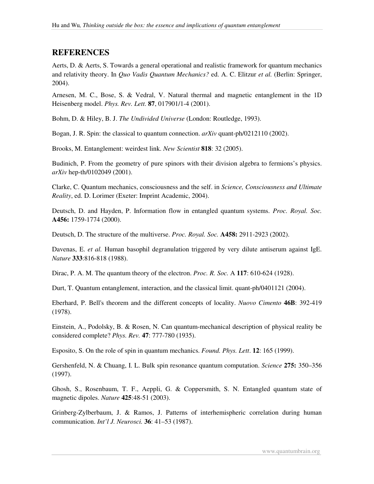## **REFERENCES**

Aerts, D. & Aerts, S. Towards a general operational and realistic framework for quantum mechanics and relativity theory. In *Quo Vadis Quantum Mechanics?* ed. A. C. Elitzur *et al.* (Berlin: Springer, 2004).

Arnesen, M. C., Bose, S. & Vedral, V. Natural thermal and magnetic entanglement in the 1D Heisenberg model. *Phys. Rev. Lett.* **87**, 017901/1-4 (2001).

Bohm, D. & Hiley, B. J. *The Undivided Universe* (London: Routledge, 1993).

Bogan, J. R. Spin: the classical to quantum connection. *arXiv* quant-ph/0212110 (2002).

Brooks, M. Entanglement: weirdest link. *New Scientist* **818**: 32 (2005).

Budinich, P. From the geometry of pure spinors with their division algebra to fermions's physics. *arXiv* hep-th/0102049 (2001).

Clarke, C. Quantum mechanics, consciousness and the self. in *Science, Consciousness and Ultimate Reality*, ed. D. Lorimer (Exeter: Imprint Academic, 2004).

Deutsch, D. and Hayden, P. Information flow in entangled quantum systems. *Proc. Royal. Soc.* **A456:** 1759-1774 (2000).

Deutsch, D. The structure of the multiverse. *Proc. Royal. Soc.* **A458:** 2911-2923 (2002).

Davenas, E. *et al.* Human basophil degranulation triggered by very dilute antiserum against IgE. *Nature* **333**:816-818 (1988).

Dirac, P. A. M. The quantum theory of the electron. *Proc. R. Soc.* A **117**: 610-624 (1928).

Durt, T. Quantum entanglement, interaction, and the classical limit. quant-ph/0401121 (2004).

Eberhard, P. Bell's theorem and the different concepts of locality. *Nuovo Cimento* **46B**: 392-419 (1978).

Einstein, A., Podolsky, B. & Rosen, N. Can quantum-mechanical description of physical reality be considered complete? *Phys. Rev.* **47**: 777-780 (1935).

Esposito, S. On the role of spin in quantum mechanics. *Found. Phys. Lett*. **12**: 165 (1999).

Gershenfeld, N. & Chuang, I. L. Bulk spin resonance quantum computation. *Science* **275:** 350–356 (1997).

Ghosh, S., Rosenbaum, T. F., Aeppli, G. & Coppersmith, S. N. Entangled quantum state of magnetic dipoles. *Nature* **425**:48-51 (2003).

Grinberg-Zylberbaum, J. & Ramos, J. Patterns of interhemispheric correlation during human communication. *Int'l J. Neurosci.* **36**: 41–53 (1987).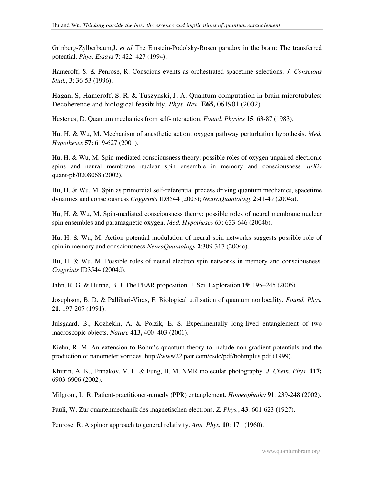Grinberg-Zylberbaum,J. *et al* The Einstein-Podolsky-Rosen paradox in the brain: The transferred potential. *Phys. Essays* **7**: 422–427 (1994).

Hameroff, S. & Penrose, R. Conscious events as orchestrated spacetime selections. *J. Conscious Stud.*, **3**: 36-53 (1996).

Hagan, S, Hameroff, S. R. & Tuszynski, J. A. Quantum computation in brain microtubules: Decoherence and biological feasibility. *Phys. Rev.* **E65,** 061901 (2002).

Hestenes, D. Quantum mechanics from self-interaction. *Found. Physics* **15**: 63-87 (1983).

Hu, H. & Wu, M. Mechanism of anesthetic action: oxygen pathway perturbation hypothesis. *Med. Hypotheses* **57**: 619-627 (2001).

Hu, H. & Wu, M. Spin-mediated consciousness theory: possible roles of oxygen unpaired electronic spins and neural membrane nuclear spin ensemble in memory and consciousness. *arXiv* quant-ph/0208068 (2002).

Hu, H. & Wu, M. Spin as primordial self-referential process driving quantum mechanics, spacetime dynamics and consciousness *Cogprints* ID3544 (2003); *NeuroQuantology* **2**:41-49 (2004a).

Hu, H. & Wu, M. Spin-mediated consciousness theory: possible roles of neural membrane nuclear spin ensembles and paramagnetic oxygen. *Med. Hypotheses 63*: 633-646 (2004b).

Hu, H. & Wu, M. Action potential modulation of neural spin networks suggests possible role of spin in memory and consciousness *NeuroQuantology* **2**:309-317 (2004c).

Hu, H. & Wu, M. Possible roles of neural electron spin networks in memory and consciousness. *Cogprints* ID3544 (2004d).

Jahn, R. G. & Dunne, B. J. The PEAR proposition. J. Sci. Exploration **19**: 195–245 (2005).

Josephson, B. D. & Pallikari-Viras, F. Biological utilisation of quantum nonlocality. *Found. Phys.* **21**: 197-207 (1991).

Julsgaard, B., Kozhekin, A. & Polzik, E. S. Experimentally long-lived entanglement of two macroscopic objects. *Nature* **413,** 400–403 (2001).

Kiehn, R. M. An extension to Bohm's quantum theory to include non-gradient potentials and the production of nanometer vortices. http://www22.pair.com/csdc/pdf/bohmplus.pdf (1999).

Khitrin, A. K., Ermakov, V. L. & Fung, B. M. NMR molecular photography. *J. Chem. Phys.* **117:** 6903-6906 (2002).

Milgrom, L. R. Patient-practitioner-remedy (PPR) entanglement. *Homeophathy* **91**: 239-248 (2002).

Pauli, W. Zur quantenmechanik des magnetischen electrons. *Z. Phys.*, **43**: 601-623 (1927).

Penrose, R. A spinor approach to general relativity. *Ann. Phys.* **10**: 171 (1960).